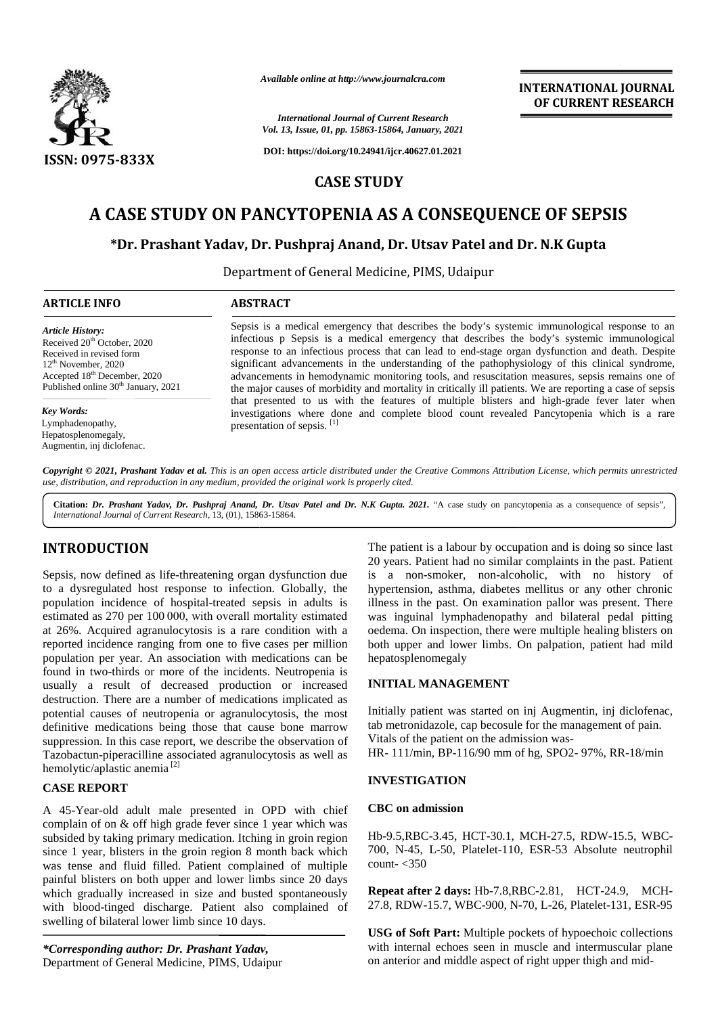

*Available online at http://www.journalcra.com*

# **A CASE STUDY ON PANCYTOPENIA AS A CONSEQUENCE OF SEPSIS**

# \*Dr. Prashant Yadav, Dr. Pushpraj Anand, Dr. Utsav Patel and Dr. N.K Gupta

| <b>ISSN: 0975-833X</b>                                                                                                                | Available online at http://www.journalcra.com<br><b>INTERNATIONAL JOURNAL</b><br>OF CURRENT RESEARCH<br><b>International Journal of Current Research</b><br>Vol. 13, Issue, 01, pp. 15863-15864, January, 2021<br>DOI: https://doi.org/10.24941/ijcr.40627.01.2021                                              |
|---------------------------------------------------------------------------------------------------------------------------------------|-----------------------------------------------------------------------------------------------------------------------------------------------------------------------------------------------------------------------------------------------------------------------------------------------------------------|
|                                                                                                                                       | <b>CASE STUDY</b>                                                                                                                                                                                                                                                                                               |
| A CASE STUDY ON PANCYTOPENIA AS A CONSEQUENCE OF SEPSIS<br>*Dr. Prashant Yadav, Dr. Pushpraj Anand, Dr. Utsav Patel and Dr. N.K Gupta |                                                                                                                                                                                                                                                                                                                 |
|                                                                                                                                       |                                                                                                                                                                                                                                                                                                                 |
| <b>ARTICLE INFO</b>                                                                                                                   | <b>ABSTRACT</b>                                                                                                                                                                                                                                                                                                 |
| <b>Article History:</b><br>Received 20 <sup>th</sup> October, 2020                                                                    | Sepsis is a medical emergency that describes the body's systemic immunological response to an<br>infectious p Sepsis is a medical emergency that describes the body's systemic immunological<br>response to an infectious process that can lead to end-stage organ dysfunction and death. Despite               |
| Received in revised form<br>$12th$ November, 2020<br>Accepted 18th December, 2020<br>Published online 30 <sup>th</sup> January, 2021  | significant advancements in the understanding of the pathophysiology of this clinical syndrome,<br>advancements in hemodynamic monitoring tools, and resuscitation measures, sepsis remains one of<br>the major causes of morbidity and mortality in critically ill patients. We are reporting a case of sepsis |
| Key Words:<br>Lymphadenopathy,<br>Hepatosplenomegaly,<br>Augmentin, inj diclofenac.                                                   | that presented to us with the features of multiple blisters and high-grade fever later when<br>investigations where done and complete blood count revealed Pancytopenia which is a rare<br>presentation of sepsis. <sup>[1]</sup>                                                                               |

**Citation:** *Dr. Prashant Yadav, Dr. Pushpraj Anand, Dr. Utsav Patel and Dr. N.K Gupta. 2021.* "A case study on pancytopenia as a consequence of sepsis", *International Journal of Current Research*, 13, (01), 15863-15864.

# **INTRODUCTION INTRODUCTION**

Sepsis, now defined as life threatening organ dysfunction due is to a dysregulated host response to infection. Globally, the population incidence of hospital treated sepsis in adults is illu estimated as 270 per 100 000, with overall mortality estimated at 26%. Acquired agranulocytosis is a rare condition with a reported incidence ranging from one to five cases per million population per year. An association with medications can be found in two-thirds or more of the incidents. Neutropenia is usually a result of decreased production or increased destruction. There are a number of medications implicated as potential causes of neutropenia or agranulocytosis, the most definitive medications being those that cause bone marrow suppression. In this case report, we describe the observation of Tazobactun-piperacilline associated agranulocytosis as well as hemolytic/aplastic anemia [2] to a dysregulated host response<br>population incidence of hospital<br>estimated as 270 per 100 000, with at 26%. Acquired agranulocytosis is a rare condition with a<br>reported incidence ranging from one to five cases per million<br>population per year. An association with medications can be<br>found in two-thirds or more of the inci **INTRODUCTION**<br>The pairs in labour by cocupation and is doing soliting the pairs in section to distinguish and is doing soliting the pairs and  $\alpha$  distinguish and is doing to distinguish and the set of the non-alcoholic, *Thermational Journ Vol. 13, Issue, 01, pp. 12*<br> **EXECUTION ON PANCYTOPEN**<br> **EXECUTION ON PANCYTOPEN**<br> **EXECUTION ON PANCYTOPEN**<br> **Prashant Yadav, Dr. Pushpraj An.**<br>
Department of General interactions propose to an interi

# **CASE REPORT CASE REPORT**

A 45-Year-old adult male presented in OPD with chief complain of on & off high grade fever since 1 year which was subsided by taking primary medication. Itching in groin region since 1 year, blisters in the groin region 8 month back which was tense and fluid filled. Patient complained of multiple painful blisters on both upper and lower limbs since 20 days which gradually increased in size and busted spontaneously with blood-tinged discharge. Patient also complained of swelling of bilateral lower limb since 10 days. A 45-Year-old adult male presented in OPD with chief complain of on & off high grade fever since 1 year which was subsided by taking primary medication. Itching in groin region since 1 year, blisters in the groin region 8

*\*Corresponding author: Dr. Prashant Yadav, \*Corresponding* Department of General Medicine, PIMS, Udaipur

The patient is a labour by occupation and is doing so since last 20 years. Patient had no similar complaints in the past. Patient is a non-smoker, non-alcoholic, with no history of hypertension, asthma, diabetes mellitus or any other chronic illness in the past. On examination pallor was present. There was inguinal lymphadenopathy and bilateral pedal pitting oedema. On inspection, there were multiple healing blisters on both upper and lower limbs. On palpation, patient had mild hepatosplenomegaly ion, asthma, diabetes mellitus or any other chronic<br>the past. On examination pallor was present. There<br>inal lymphadenopathy and bilateral pedal pitting<br>Dn inspection, there were multiple healing blisters on

# **INITIAL MANAGEMENT MANAGEMENT**

Initially patient was started on inj Augmentin, inj diclofenac, tab metronidazole, cap becosule for the management of pain. Vitals of the patient on the admission was- HR- 111/min, BP-116/90 mm of hg, SPO2- 97%, RR-18/min inj Augmentin, inj diclofenac,<br>e for the management of pain.<br>ission was-<br>of hg, SPO2-97%, RR-18/min<br>MCH-27.5, RDW-15.5, WBC-

# **INVESTIGATION**

#### **CBC on admission**

Hb-9.5,RBC-3.45, HCT-30.1, MCH-27.5, RDW-15.5, WBC- 700, N-45, L-50, Platelet-110, ESR-53 Absolute neutrophil count- $<$ 350

**Repeat after 2 days:** Hb-7.8,RBC-2.81, HCT-24.9, MCH-27.8, RDW-15.7, WBC-900, N-70, L-26, Platelet-131, ESR-95

**USG of Soft Part:** Multiple pockets of hypoechoic collections with internal echoes seen in muscle and intermuscular plane **USG of Soft Part:** Multiple pockets of hypoechoic collect with internal echoes seen in muscle and intermuscular p on anterior and middle aspect of right upper thigh and mid-